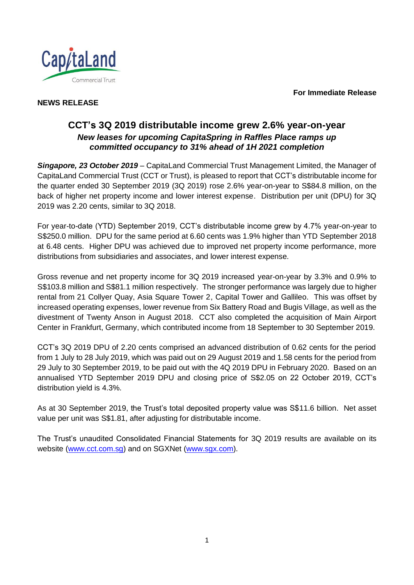**For Immediate Release**



# **NEWS RELEASE**

# **CCT's 3Q 2019 distributable income grew 2.6% year-on-year** *New leases for upcoming CapitaSpring in Raffles Place ramps up committed occupancy to 31% ahead of 1H 2021 completion*

*Singapore, 23 October 2019* – CapitaLand Commercial Trust Management Limited, the Manager of CapitaLand Commercial Trust (CCT or Trust), is pleased to report that CCT's distributable income for the quarter ended 30 September 2019 (3Q 2019) rose 2.6% year-on-year to S\$84.8 million, on the back of higher net property income and lower interest expense. Distribution per unit (DPU) for 3Q 2019 was 2.20 cents, similar to 3Q 2018.

For year-to-date (YTD) September 2019, CCT's distributable income grew by 4.7% year-on-year to S\$250.0 million. DPU for the same period at 6.60 cents was 1.9% higher than YTD September 2018 at 6.48 cents. Higher DPU was achieved due to improved net property income performance, more distributions from subsidiaries and associates, and lower interest expense.

Gross revenue and net property income for 3Q 2019 increased year-on-year by 3.3% and 0.9% to S\$103.8 million and S\$81.1 million respectively. The stronger performance was largely due to higher rental from 21 Collyer Quay, Asia Square Tower 2, Capital Tower and Gallileo. This was offset by increased operating expenses, lower revenue from Six Battery Road and Bugis Village, as well as the divestment of Twenty Anson in August 2018. CCT also completed the acquisition of Main Airport Center in Frankfurt, Germany, which contributed income from 18 September to 30 September 2019.

CCT's 3Q 2019 DPU of 2.20 cents comprised an advanced distribution of 0.62 cents for the period from 1 July to 28 July 2019, which was paid out on 29 August 2019 and 1.58 cents for the period from 29 July to 30 September 2019, to be paid out with the 4Q 2019 DPU in February 2020. Based on an annualised YTD September 2019 DPU and closing price of S\$2.05 on 22 October 2019, CCT's distribution yield is 4.3%.

As at 30 September 2019, the Trust's total deposited property value was S\$11.6 billion. Net asset value per unit was S\$1.81, after adjusting for distributable income.

The Trust's unaudited Consolidated Financial Statements for 3Q 2019 results are available on its website [\(www.cct.com.sg\)](http://www.cct.com.sg/) and on SGXNet [\(www.sgx.com\)](http://www.sgx.com/).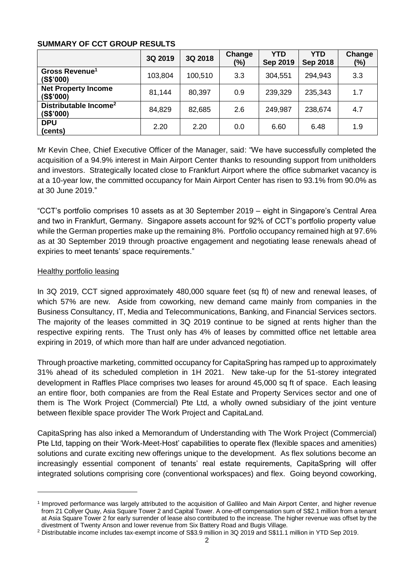### **SUMMARY OF CCT GROUP RESULTS**

|                                                | 3Q 2019 | 3Q 2018 | Change<br>(%) | <b>YTD</b><br><b>Sep 2019</b> | YTD<br><b>Sep 2018</b> | Change<br>(%) |
|------------------------------------------------|---------|---------|---------------|-------------------------------|------------------------|---------------|
| Gross Revenue <sup>1</sup><br>(S\$'000)        | 103,804 | 100,510 | 3.3           | 304,551                       | 294,943                | 3.3           |
| <b>Net Property Income</b><br>(S\$'000)        | 81,144  | 80,397  | 0.9           | 239,329                       | 235,343                | 1.7           |
| Distributable Income <sup>2</sup><br>(S\$'000) | 84,829  | 82,685  | 2.6           | 249,987                       | 238,674                | 4.7           |
| <b>DPU</b><br>(cents)                          | 2.20    | 2.20    | 0.0           | 6.60                          | 6.48                   | 1.9           |

Mr Kevin Chee, Chief Executive Officer of the Manager, said: "We have successfully completed the acquisition of a 94.9% interest in Main Airport Center thanks to resounding support from unitholders and investors. Strategically located close to Frankfurt Airport where the office submarket vacancy is at a 10-year low, the committed occupancy for Main Airport Center has risen to 93.1% from 90.0% as at 30 June 2019."

"CCT's portfolio comprises 10 assets as at 30 September 2019 – eight in Singapore's Central Area and two in Frankfurt, Germany. Singapore assets account for 92% of CCT's portfolio property value while the German properties make up the remaining 8%. Portfolio occupancy remained high at 97.6% as at 30 September 2019 through proactive engagement and negotiating lease renewals ahead of expiries to meet tenants' space requirements."

# Healthy portfolio leasing

l

In 3Q 2019, CCT signed approximately 480,000 square feet (sq ft) of new and renewal leases, of which 57% are new. Aside from coworking, new demand came mainly from companies in the Business Consultancy, IT, Media and Telecommunications, Banking, and Financial Services sectors. The majority of the leases committed in 3Q 2019 continue to be signed at rents higher than the respective expiring rents. The Trust only has 4% of leases by committed office net lettable area expiring in 2019, of which more than half are under advanced negotiation.

Through proactive marketing, committed occupancy for CapitaSpring has ramped up to approximately 31% ahead of its scheduled completion in 1H 2021. New take-up for the 51-storey integrated development in Raffles Place comprises two leases for around 45,000 sq ft of space. Each leasing an entire floor, both companies are from the Real Estate and Property Services sector and one of them is The Work Project (Commercial) Pte Ltd, a wholly owned subsidiary of the joint venture between flexible space provider The Work Project and CapitaLand.

CapitaSpring has also inked a Memorandum of Understanding with The Work Project (Commercial) Pte Ltd, tapping on their 'Work-Meet-Host' capabilities to operate flex (flexible spaces and amenities) solutions and curate exciting new offerings unique to the development. As flex solutions become an increasingly essential component of tenants' real estate requirements, CapitaSpring will offer integrated solutions comprising core (conventional workspaces) and flex. Going beyond coworking,

<sup>1</sup> Improved performance was largely attributed to the acquisition of Gallileo and Main Airport Center, and higher revenue from 21 Collyer Quay, Asia Square Tower 2 and Capital Tower. A one-off compensation sum of S\$2.1 million from a tenant at Asia Square Tower 2 for early surrender of lease also contributed to the increase. The higher revenue was offset by the divestment of Twenty Anson and lower revenue from Six Battery Road and Bugis Village.

<sup>2</sup> Distributable income includes tax-exempt income of S\$3.9 million in 3Q 2019 and S\$11.1 million in YTD Sep 2019.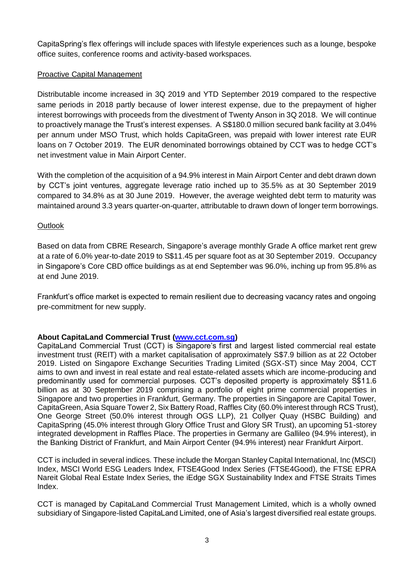CapitaSpring's flex offerings will include spaces with lifestyle experiences such as a lounge, bespoke office suites, conference rooms and activity-based workspaces.

### Proactive Capital Management

Distributable income increased in 3Q 2019 and YTD September 2019 compared to the respective same periods in 2018 partly because of lower interest expense, due to the prepayment of higher interest borrowings with proceeds from the divestment of Twenty Anson in 3Q 2018. We will continue to proactively manage the Trust's interest expenses. A S\$180.0 million secured bank facility at 3.04% per annum under MSO Trust, which holds CapitaGreen, was prepaid with lower interest rate EUR loans on 7 October 2019. The EUR denominated borrowings obtained by CCT was to hedge CCT's net investment value in Main Airport Center.

With the completion of the acquisition of a 94.9% interest in Main Airport Center and debt drawn down by CCT's joint ventures, aggregate leverage ratio inched up to 35.5% as at 30 September 2019 compared to 34.8% as at 30 June 2019. However, the average weighted debt term to maturity was maintained around 3.3 years quarter-on-quarter, attributable to drawn down of longer term borrowings.

## **Outlook**

Based on data from CBRE Research, Singapore's average monthly Grade A office market rent grew at a rate of 6.0% year-to-date 2019 to S\$11.45 per square foot as at 30 September 2019. Occupancy in Singapore's Core CBD office buildings as at end September was 96.0%, inching up from 95.8% as at end June 2019.

Frankfurt's office market is expected to remain resilient due to decreasing vacancy rates and ongoing pre-commitment for new supply.

# **About CapitaLand Commercial Trust [\(www.cct.com.sg\)](file:///D:/Users/homeipeng/AppData/Local/Microsoft/Windows/Temporary%20Internet%20Files/Content.Outlook/P5NL80E6/www.cct.com.sg)**

CapitaLand Commercial Trust (CCT) is Singapore's first and largest listed commercial real estate investment trust (REIT) with a market capitalisation of approximately S\$7.9 billion as at 22 October 2019. Listed on Singapore Exchange Securities Trading Limited (SGX-ST) since May 2004, CCT aims to own and invest in real estate and real estate-related assets which are income-producing and predominantly used for commercial purposes. CCT's deposited property is approximately S\$11.6 billion as at 30 September 2019 comprising a portfolio of eight prime commercial properties in Singapore and two properties in Frankfurt, Germany. The properties in Singapore are Capital Tower, CapitaGreen, Asia Square Tower 2, Six Battery Road, Raffles City (60.0% interest through RCS Trust), One George Street (50.0% interest through OGS LLP), 21 Collyer Quay (HSBC Building) and CapitaSpring (45.0% interest through Glory Office Trust and Glory SR Trust), an upcoming 51-storey integrated development in Raffles Place. The properties in Germany are Gallileo (94.9% interest), in the Banking District of Frankfurt, and Main Airport Center (94.9% interest) near Frankfurt Airport.

CCT is included in several indices. These include the Morgan Stanley Capital International, Inc (MSCI) Index, MSCI World ESG Leaders Index, FTSE4Good Index Series (FTSE4Good), the FTSE EPRA Nareit Global Real Estate Index Series, the iEdge SGX Sustainability Index and FTSE Straits Times Index.

CCT is managed by CapitaLand Commercial Trust Management Limited, which is a wholly owned subsidiary of Singapore-listed CapitaLand Limited, one of Asia's largest diversified real estate groups.